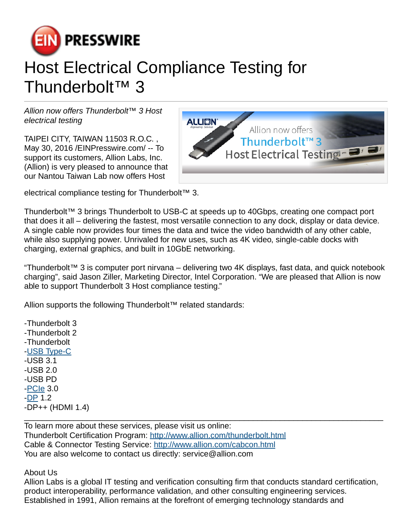

## Host Electrical Compliance Testing for Thunderbolt™ 3

Allion now offers Thunderbolt™ 3 Host electrical testing

TAIPEI CITY, TAIWAN 11503 R.O.C. , May 30, 2016 [/EINPresswire.com](http://www.einpresswire.com)/ -- To support its customers, Allion Labs, Inc. (Allion) is very pleased to announce that our Nantou Taiwan Lab now offers Host



electrical compliance testing for Thunderbolt™ 3.

Thunderbolt™ 3 brings Thunderbolt to USB-C at speeds up to 40Gbps, creating one compact port that does it all – delivering the fastest, most versatile connection to any dock, display or data device. A single cable now provides four times the data and twice the video bandwidth of any other cable, while also supplying power. Unrivaled for new uses, such as 4K video, single-cable docks with charging, external graphics, and built in 10GbE networking.

"Thunderbolt™ 3 is computer port nirvana – delivering two 4K displays, fast data, and quick notebook charging", said Jason Ziller, Marketing Director, Intel Corporation. "We are pleased that Allion is now able to support Thunderbolt 3 Host compliance testing."

Allion supports the following Thunderbolt™ related standards:

-Thunderbolt 3 -Thunderbolt 2 -Thunderbolt -[USB Type-C](http://www.allion.com/type-c.html) -USB 3.1 -USB 2.0 -USB PD -[PCIe](http://www.allion.com/pci_express.html) 3.0 -[DP](http://www.allion.com/displayport.html) 1.2 -DP++ (HDMI 1.4)

To learn more about these services, please visit us online: Thunderbolt Certification Program: <http://www.allion.com/thunderbolt.html> Cable & Connector Testing Service: <http://www.allion.com/cabcon.html> You are also welcome to contact us directly: service@allion.com

About Us

Allion Labs is a global IT testing and verification consulting firm that conducts standard certification, product interoperability, performance validation, and other consulting engineering services. Established in 1991, Allion remains at the forefront of emerging technology standards and

\_\_\_\_\_\_\_\_\_\_\_\_\_\_\_\_\_\_\_\_\_\_\_\_\_\_\_\_\_\_\_\_\_\_\_\_\_\_\_\_\_\_\_\_\_\_\_\_\_\_\_\_\_\_\_\_\_\_\_\_\_\_\_\_\_\_\_\_\_\_\_\_\_\_\_\_\_\_\_\_